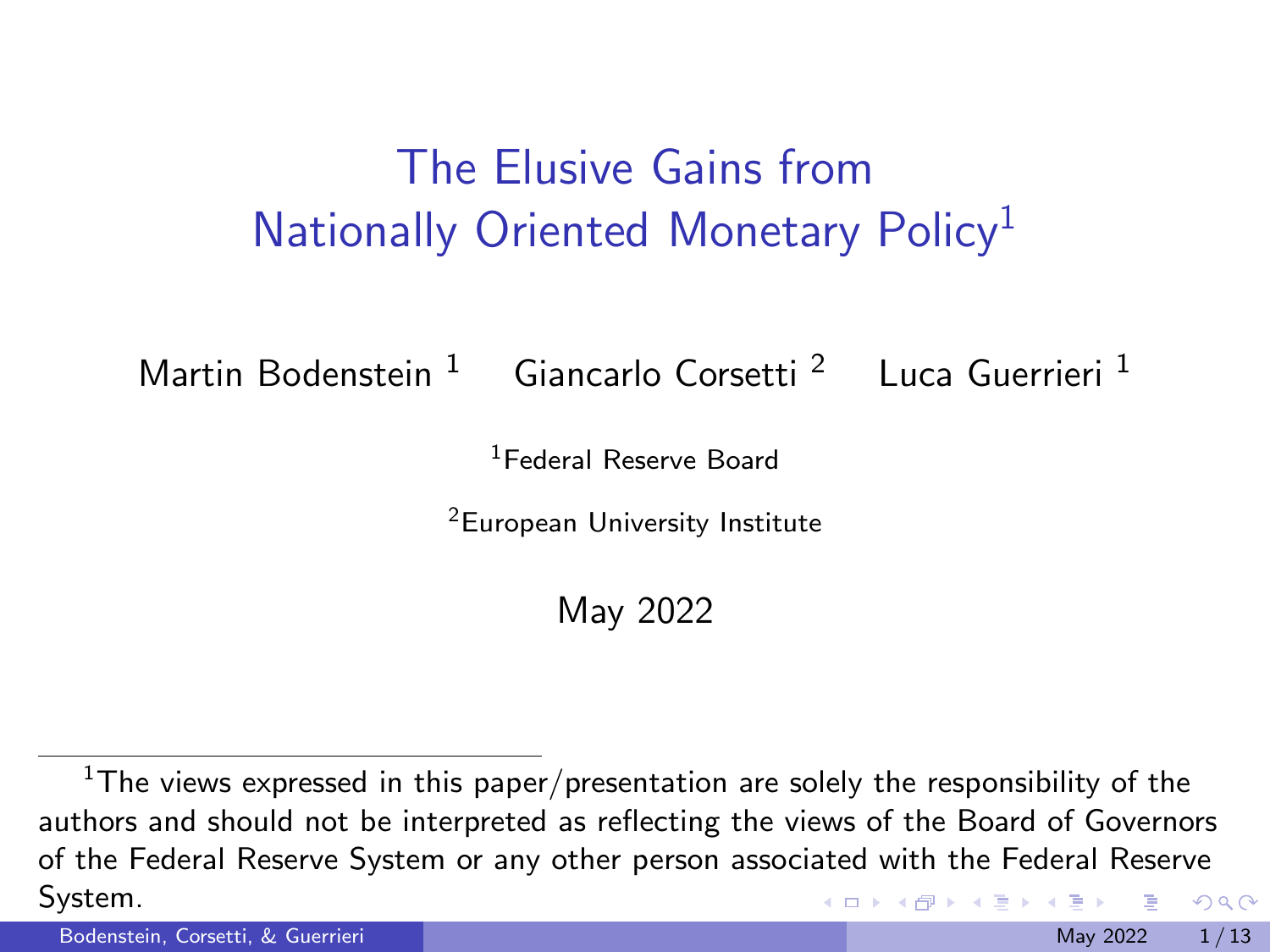## The Elusive Gains from Nationally Oriented Monetary Policy<sup>1</sup>

Martin Bodenstein <sup>1</sup> Giancarlo Corsetti<sup>2</sup> Luca Guerrieri<sup>1</sup>

<sup>1</sup>Federal Reserve Board

<sup>2</sup>European University Institute

May 2022

 $1$ The views expressed in this paper/presentation are solely the responsibility of the authors and should not be interpreted as reflecting the views of the Board of Governors of the Federal Reserve System or any other person associated with the Federal Reserve System.  $QQ$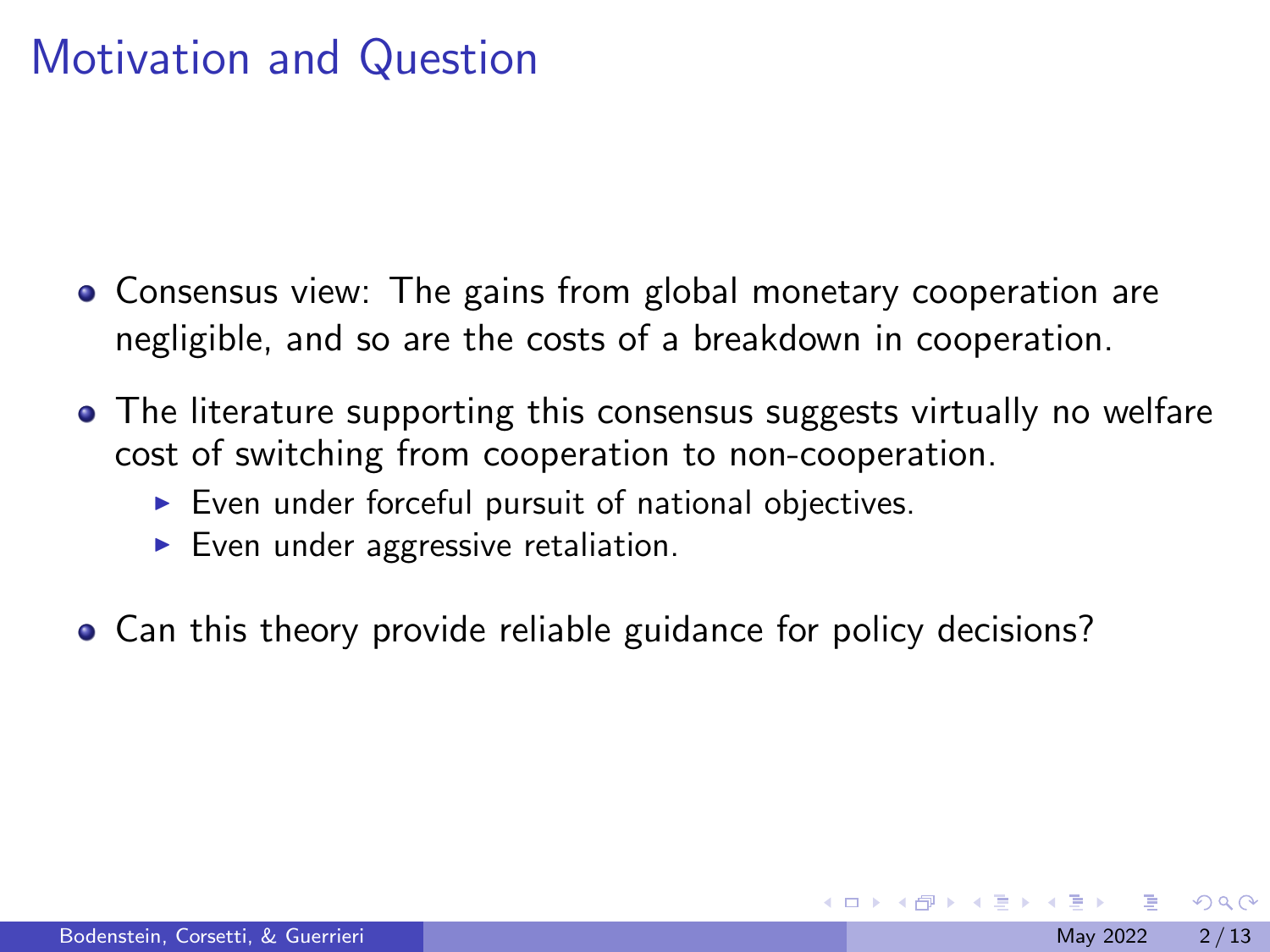#### Motivation and Question

- Consensus view: The gains from global monetary cooperation are negligible, and so are the costs of a breakdown in cooperation.
- The literature supporting this consensus suggests virtually no welfare cost of switching from cooperation to non-cooperation.
	- $\triangleright$  Even under forceful pursuit of national objectives.
	- $\blacktriangleright$  Even under aggressive retaliation.
- Can this theory provide reliable guidance for policy decisions?

 $\Omega$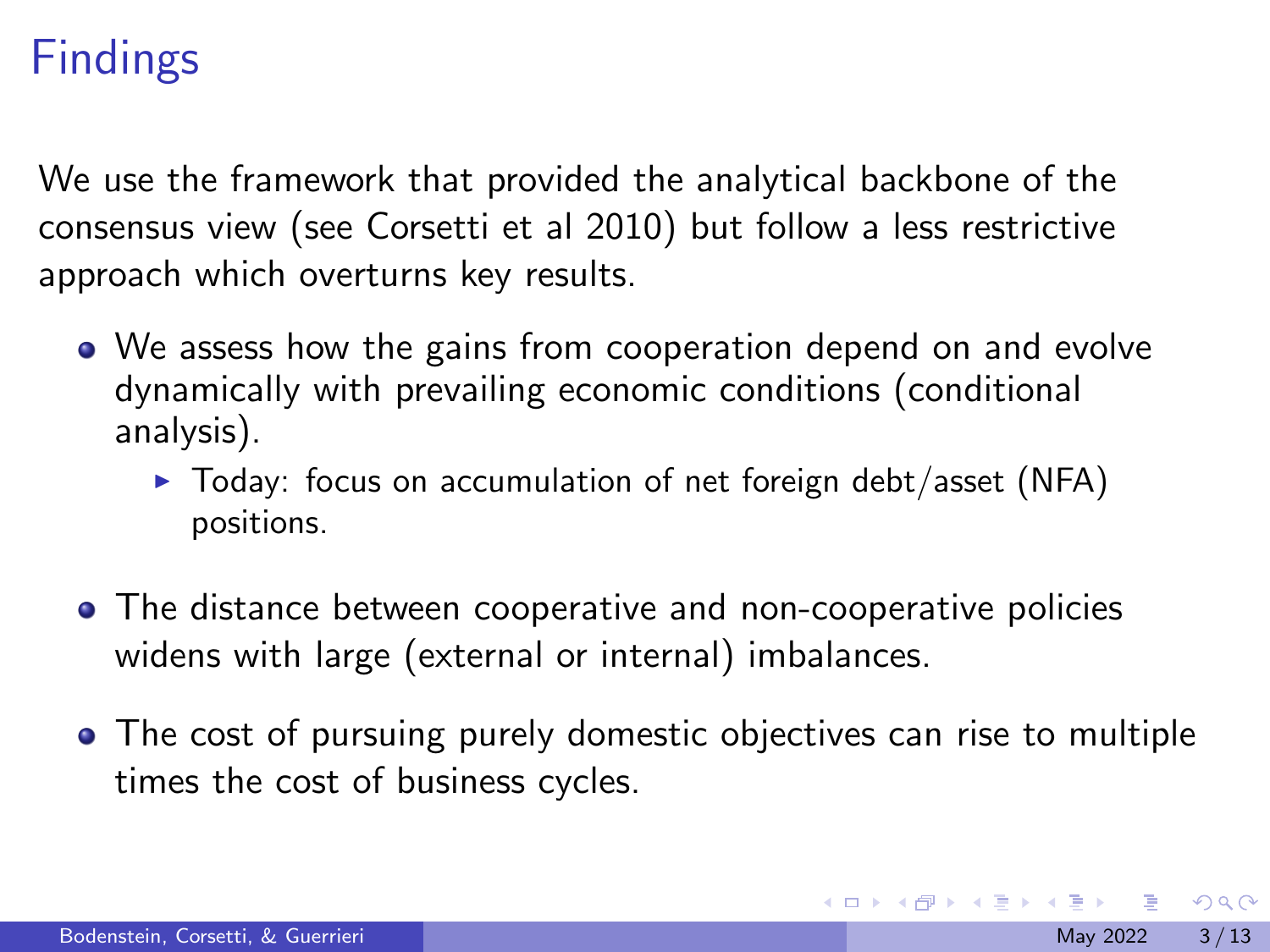### Findings

We use the framework that provided the analytical backbone of the consensus view (see Corsetti et al 2010) but follow a less restrictive approach which overturns key results.

- We assess how the gains from cooperation depend on and evolve dynamically with prevailing economic conditions (conditional analysis).
	- $\triangleright$  Today: focus on accumulation of net foreign debt/asset (NFA) positions.
- The distance between cooperative and non-cooperative policies widens with large (external or internal) imbalances.
- The cost of pursuing purely domestic objectives can rise to multiple times the cost of business cycles.

 $\Omega$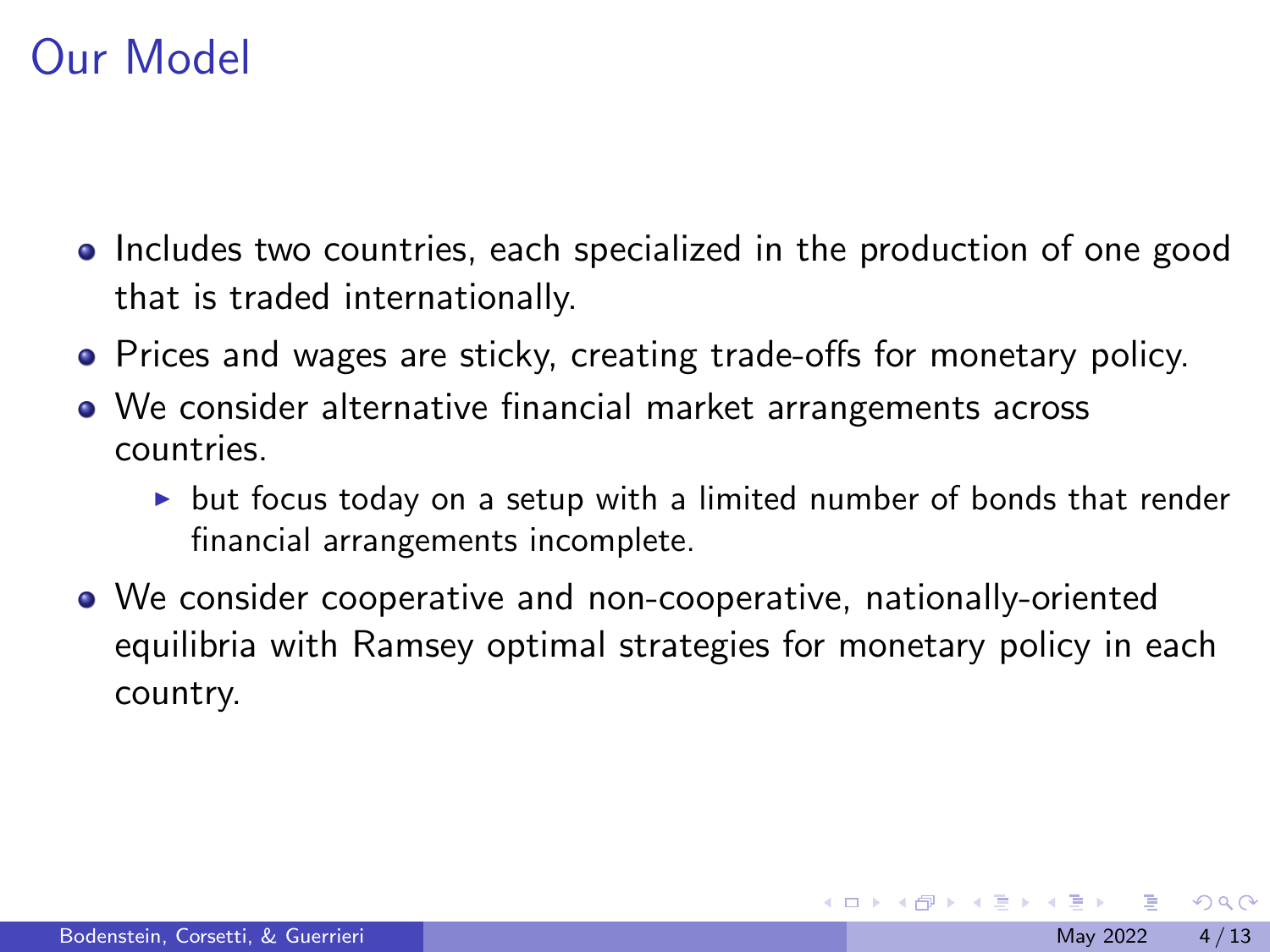#### Our Model

- Includes two countries, each specialized in the production of one good that is traded internationally.
- Prices and wages are sticky, creating trade-offs for monetary policy.
- We consider alternative financial market arrangements across countries.
	- $\triangleright$  but focus today on a setup with a limited number of bonds that render financial arrangements incomplete.
- We consider cooperative and non-cooperative, nationally-oriented equilibria with Ramsey optimal strategies for monetary policy in each country.

 $200$ 

- 4 重 8 - 4 重 8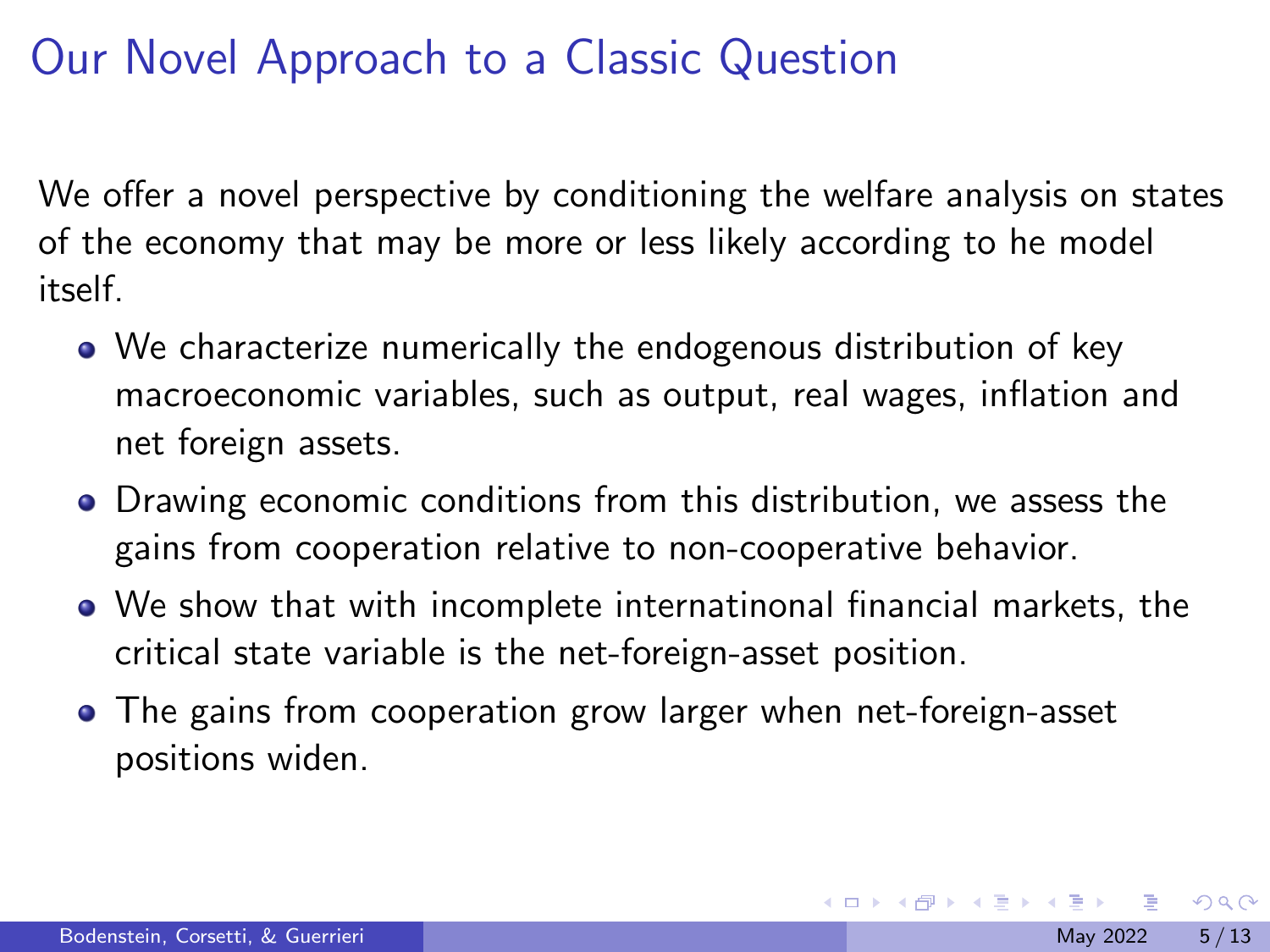# Our Novel Approach to a Classic Question

We offer a novel perspective by conditioning the welfare analysis on states of the economy that may be more or less likely according to he model itself.

- We characterize numerically the endogenous distribution of key macroeconomic variables, such as output, real wages, inflation and net foreign assets.
- Drawing economic conditions from this distribution, we assess the gains from cooperation relative to non-cooperative behavior.
- We show that with incomplete internatinonal financial markets, the critical state variable is the net-foreign-asset position.
- The gains from cooperation grow larger when net-foreign-asset positions widen.

 $200$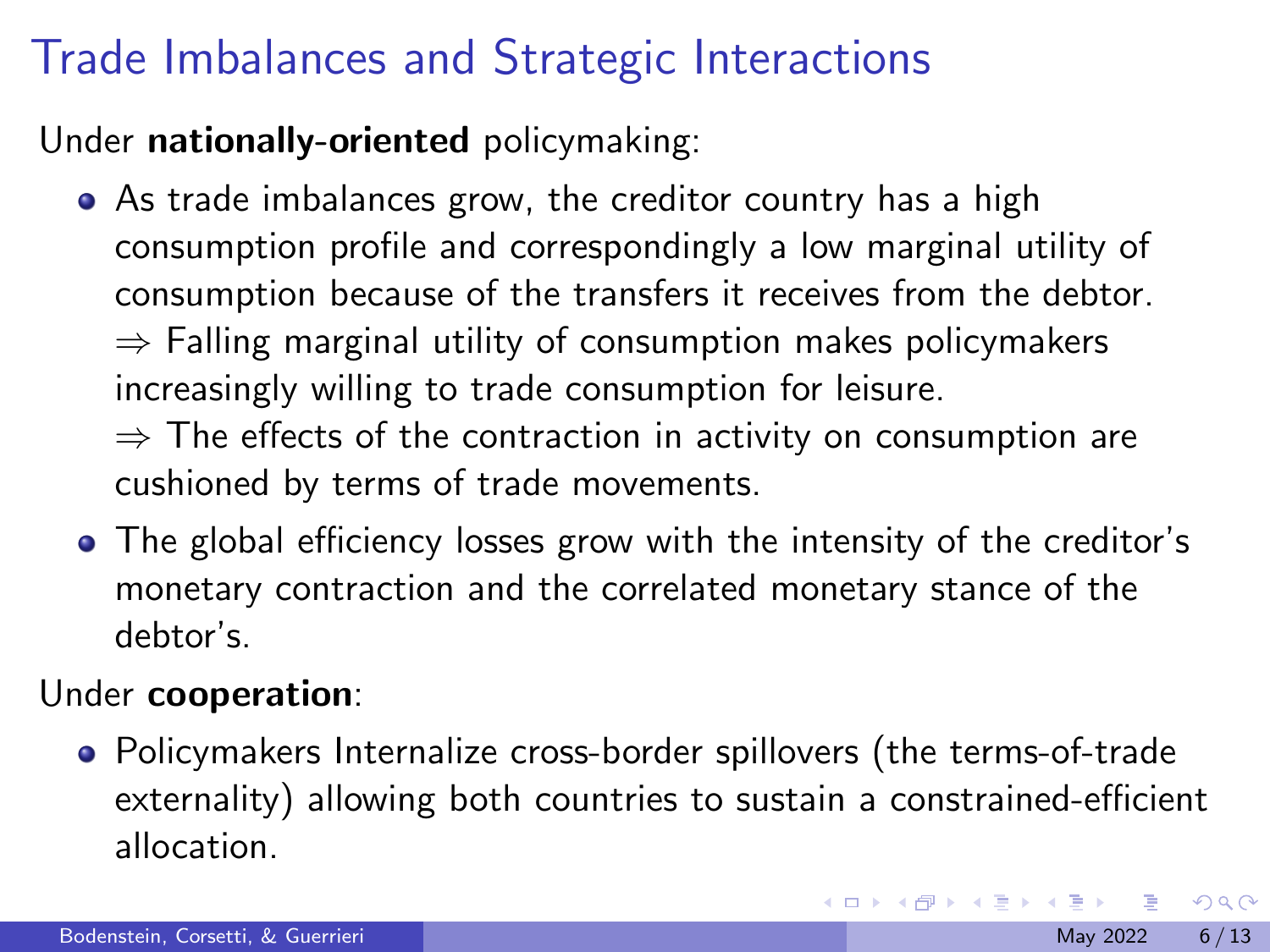# Trade Imbalances and Strategic Interactions

Under nationally-oriented policymaking:

As trade imbalances grow, the creditor country has a high consumption profile and correspondingly a low marginal utility of consumption because of the transfers it receives from the debtor.  $\Rightarrow$  Falling marginal utility of consumption makes policymakers increasingly willing to trade consumption for leisure.  $\Rightarrow$  The effects of the contraction in activity on consumption are

cushioned by terms of trade movements.

The global efficiency losses grow with the intensity of the creditor's monetary contraction and the correlated monetary stance of the debtor's.

#### Under cooperation:

Policymakers Internalize cross-border spillovers (the terms-of-trade externality) allowing both countries to sustain a constrained-efficient allocation.

 $\Omega$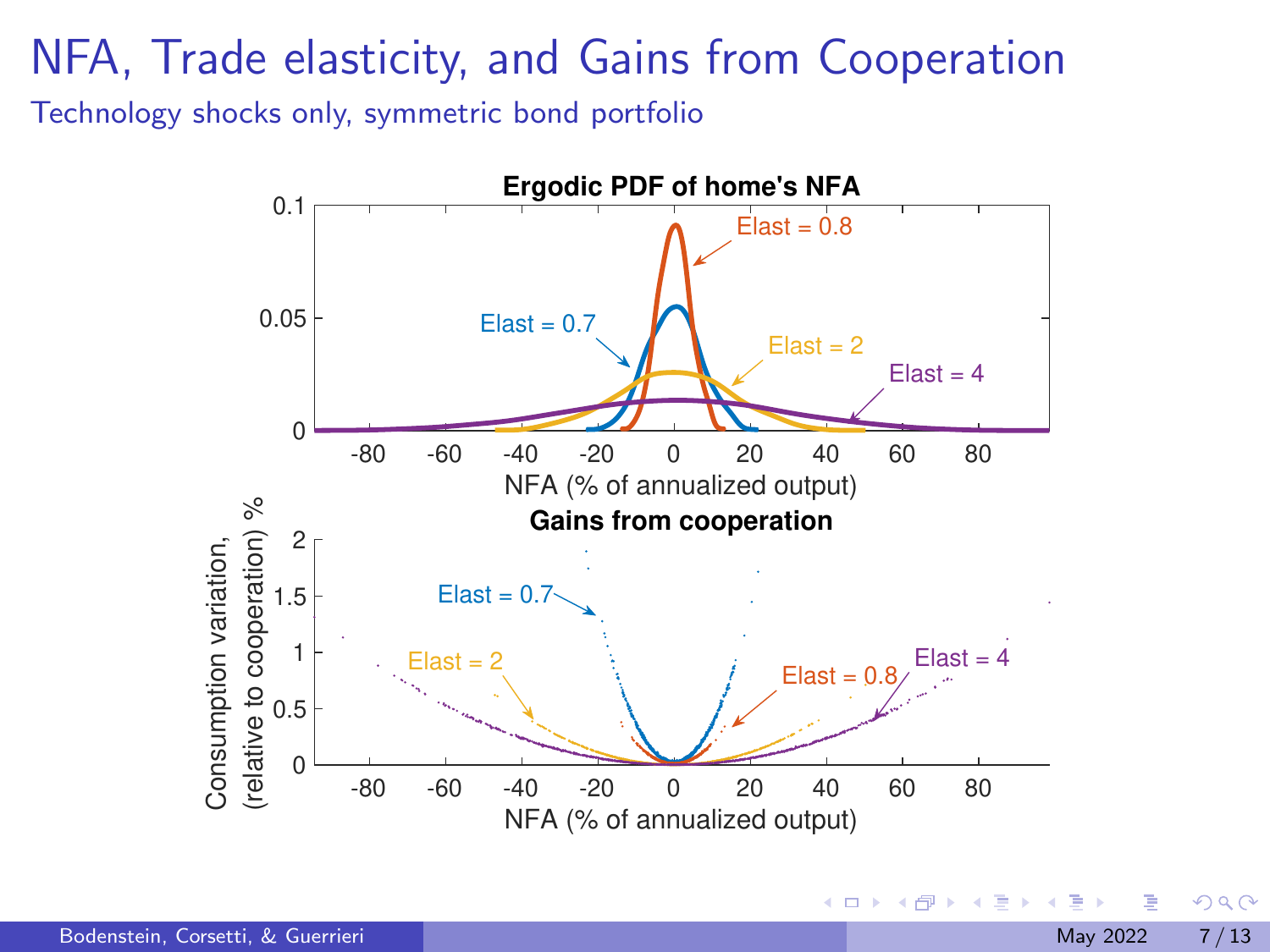### NFA, Trade elasticity, and Gains from Cooperation

Technology shocks only, symmetric bond portfolio



 $QQ$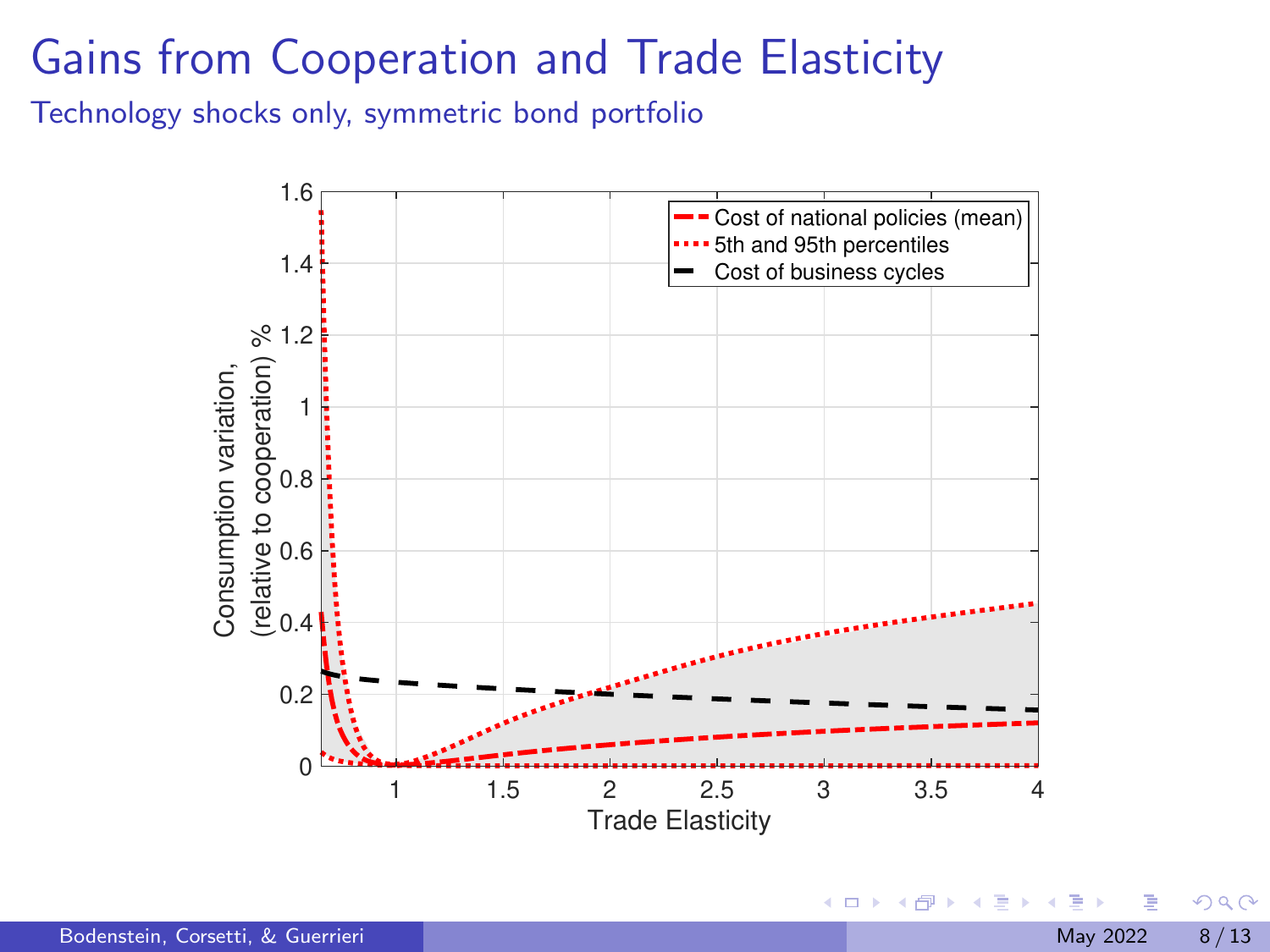## Gains from Cooperation and Trade Elasticity

Technology shocks only, symmetric bond portfolio



 $\rightarrow$ 

4 0 F

 $299$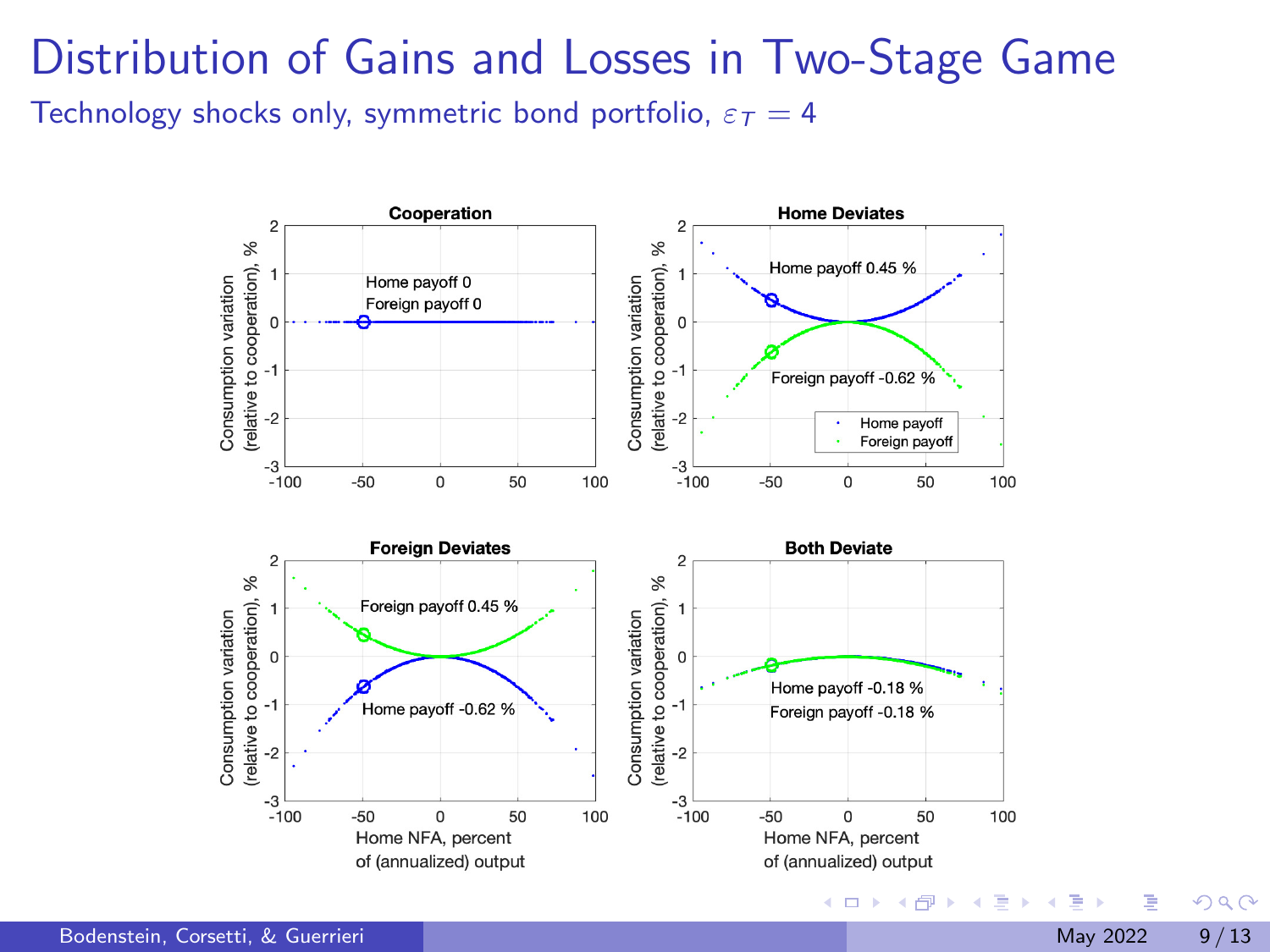# Distribution of Gains and Losses in Two-Stage Game

Technology shocks only, symmetric bond portfolio,  $\varepsilon_T = 4$ 



Þ

 $QQ$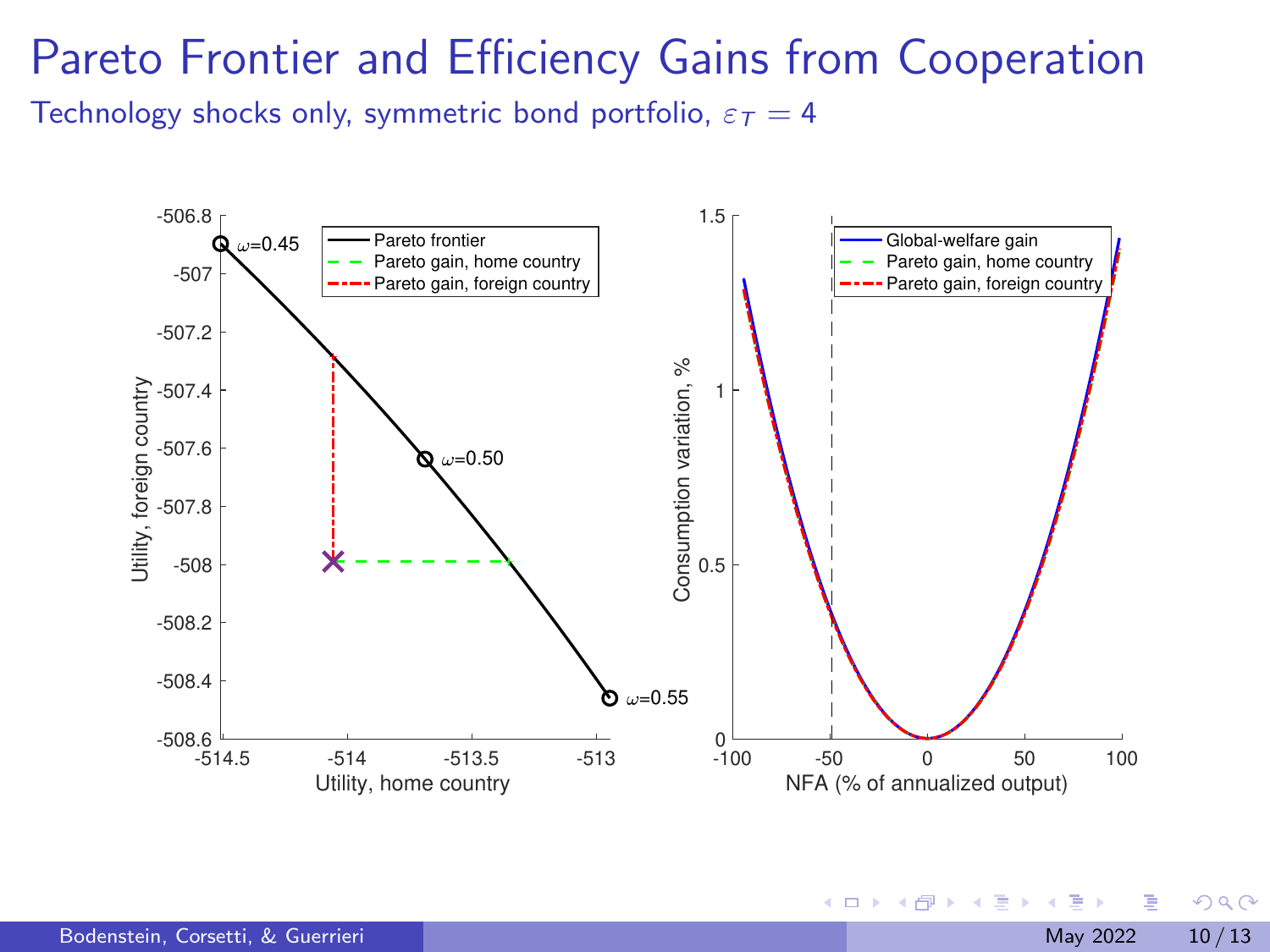#### Pareto Frontier and Efficiency Gains from Cooperation

Technology shocks only, symmetric bond portfolio,  $\varepsilon_T = 4$ 



イロト イ押ト イヨト イヨ

 $QQ$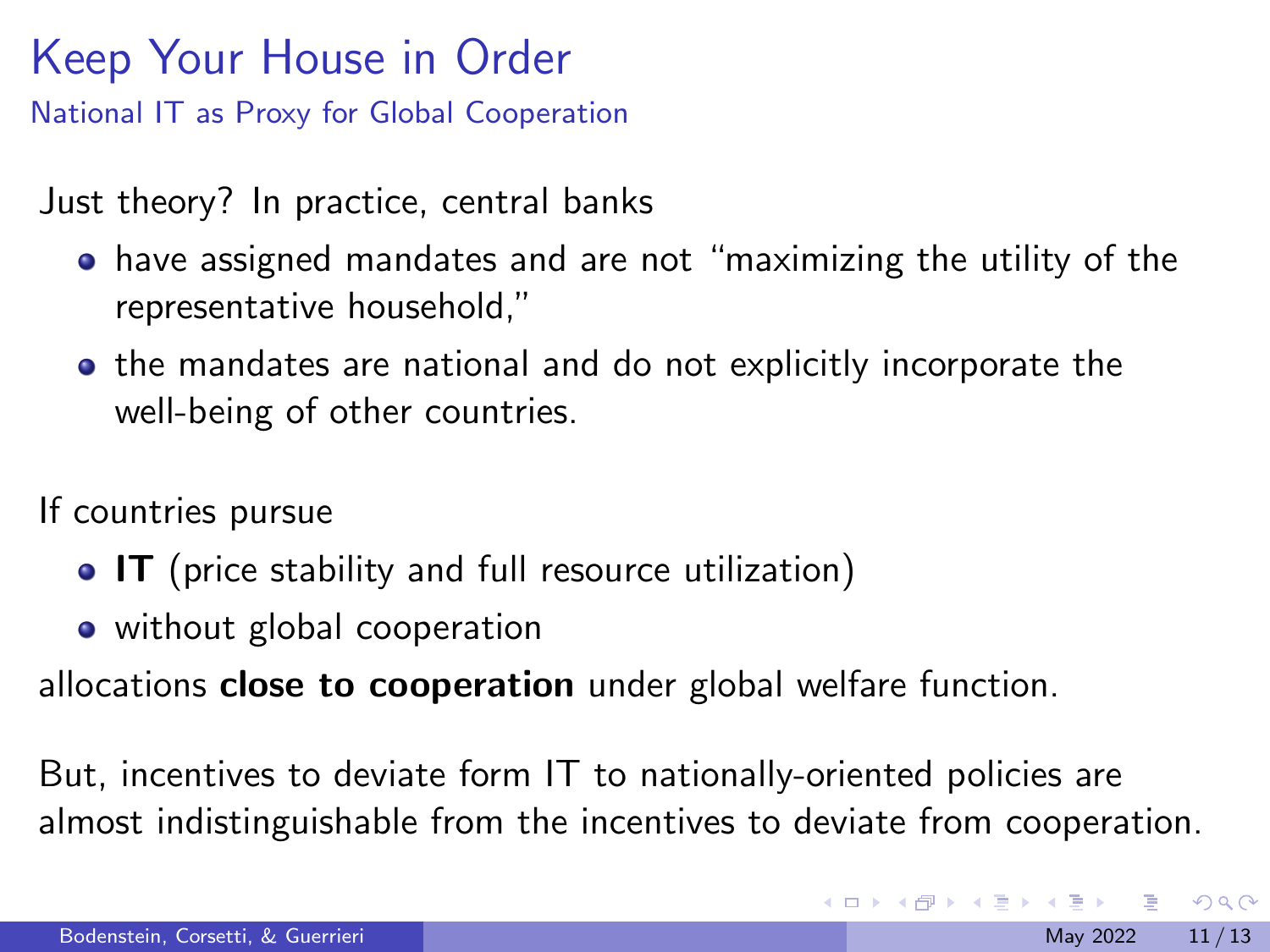# Keep Your House in Order

National IT as Proxy for Global Cooperation

Just theory? In practice, central banks

- have assigned mandates and are not "maximizing the utility of the representative household,"
- **•** the mandates are national and do not explicitly incorporate the well-being of other countries.

If countries pursue

- IT (price stability and full resource utilization)
- without global cooperation

allocations **close to cooperation** under global welfare function.

But, incentives to deviate form IT to nationally-oriented policies are almost indistinguishable from the incentives to deviate from cooperation.

 $QQ$ 

 $\mathcal{A} \oplus \mathcal{B}$  and  $\mathcal{A} \oplus \mathcal{B}$  and  $\mathcal{B} \oplus \mathcal{B}$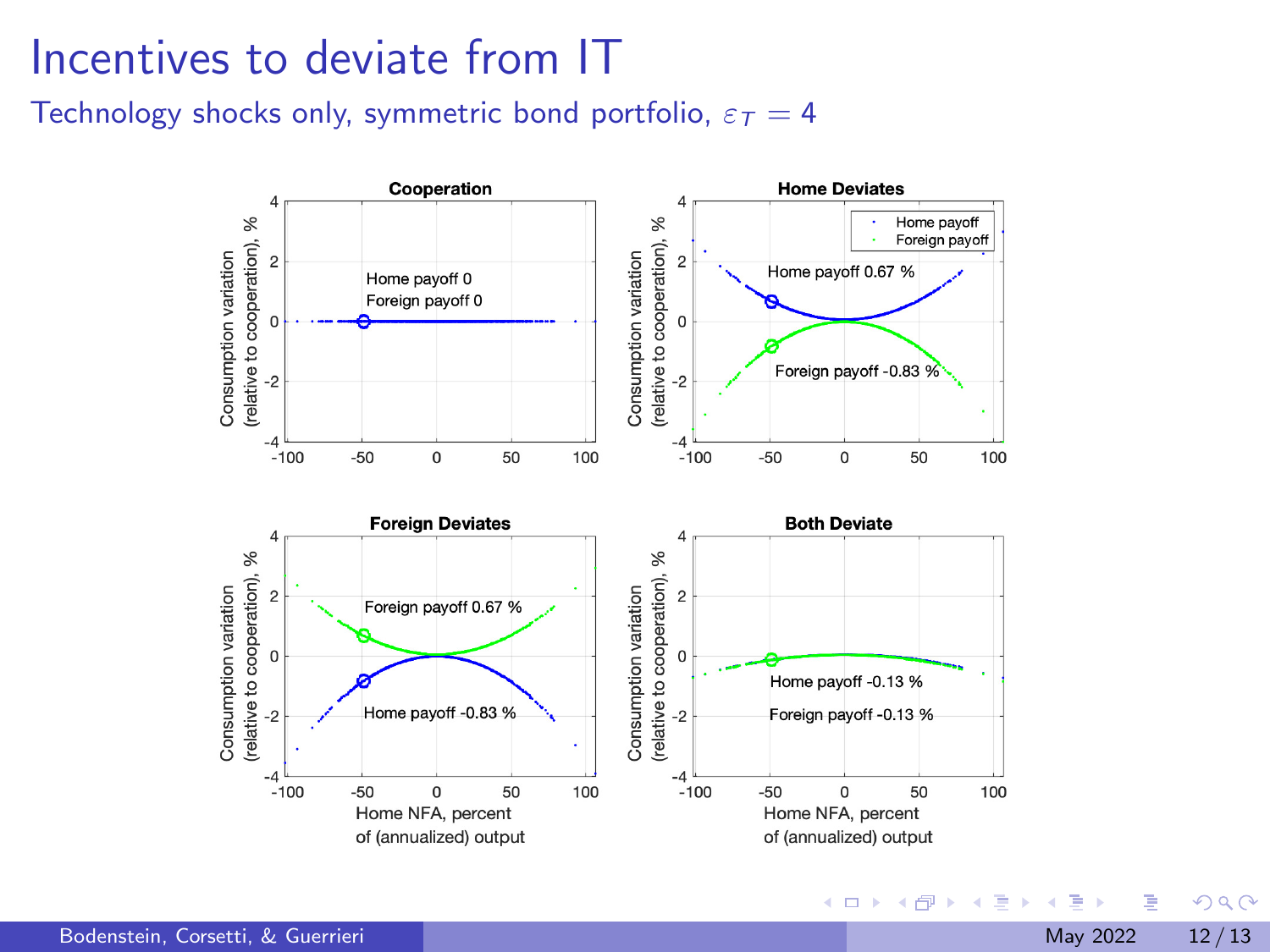#### Incentives to deviate from IT

Technology shocks only, symmetric bond portfolio,  $\varepsilon_T = 4$ 



э

 $QQ$